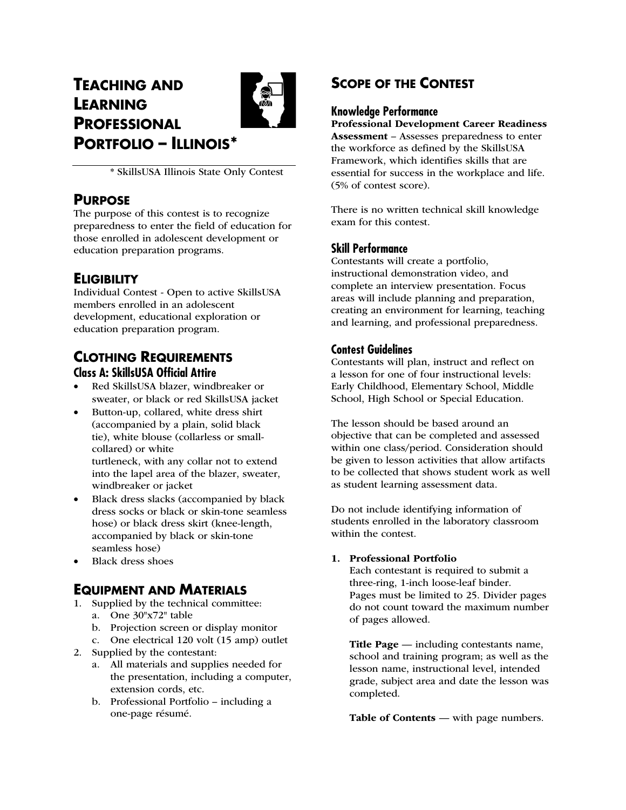# **TEACHING AND LEARNING PROFESSIONAL PORTFOLIO – ILLINOIS\***



\* SkillsUSA Illinois State Only Contest

# **PURPOSE**

The purpose of this contest is to recognize preparedness to enter the field of education for those enrolled in adolescent development or education preparation programs.

# **ELIGIBILITY**

Individual Contest - Open to active SkillsUSA members enrolled in an adolescent development, educational exploration or education preparation program.

# **CLOTHING REQUIREMENTS Class A: SkillsUSA Official Attire**

- Red SkillsUSA blazer, windbreaker or sweater, or black or red SkillsUSA jacket
- Button-up, collared, white dress shirt (accompanied by a plain, solid black tie), white blouse (collarless or smallcollared) or white turtleneck, with any collar not to extend into the lapel area of the blazer, sweater,
- windbreaker or jacket • Black dress slacks (accompanied by black dress socks or black or skin-tone seamless hose) or black dress skirt (knee-length, accompanied by black or skin-tone seamless hose)
- Black dress shoes

# **EQUIPMENT AND MATERIALS**

- 1. Supplied by the technical committee:
	- a. One 30"x72" table
	- b. Projection screen or display monitor
	- c. One electrical 120 volt (15 amp) outlet
- 2. Supplied by the contestant:
	- a. All materials and supplies needed for the presentation, including a computer, extension cords, etc.
	- b. Professional Portfolio including a one-page résumé.

# **SCOPE OF THE CONTEST**

## **Knowledge Performance**

Professional Development Career Readiness Assessment – Assesses preparedness to enter the workforce as defined by the SkillsUSA Framework, which identifies skills that are essential for success in the workplace and life. (5% of contest score).

There is no written technical skill knowledge exam for this contest.

## **Skill Performance**

Contestants will create a portfolio, instructional demonstration video, and complete an interview presentation. Focus areas will include planning and preparation, creating an environment for learning, teaching and learning, and professional preparedness.

## **Contest Guidelines**

Contestants will plan, instruct and reflect on a lesson for one of four instructional levels: Early Childhood, Elementary School, Middle School, High School or Special Education.

The lesson should be based around an objective that can be completed and assessed within one class/period. Consideration should be given to lesson activities that allow artifacts to be collected that shows student work as well as student learning assessment data.

Do not include identifying information of students enrolled in the laboratory classroom within the contest.

## 1. Professional Portfolio

Each contestant is required to submit a three-ring, 1-inch loose-leaf binder. Pages must be limited to 25. Divider pages do not count toward the maximum number of pages allowed.

Title Page — including contestants name, school and training program; as well as the lesson name, instructional level, intended grade, subject area and date the lesson was completed.

Table of Contents — with page numbers.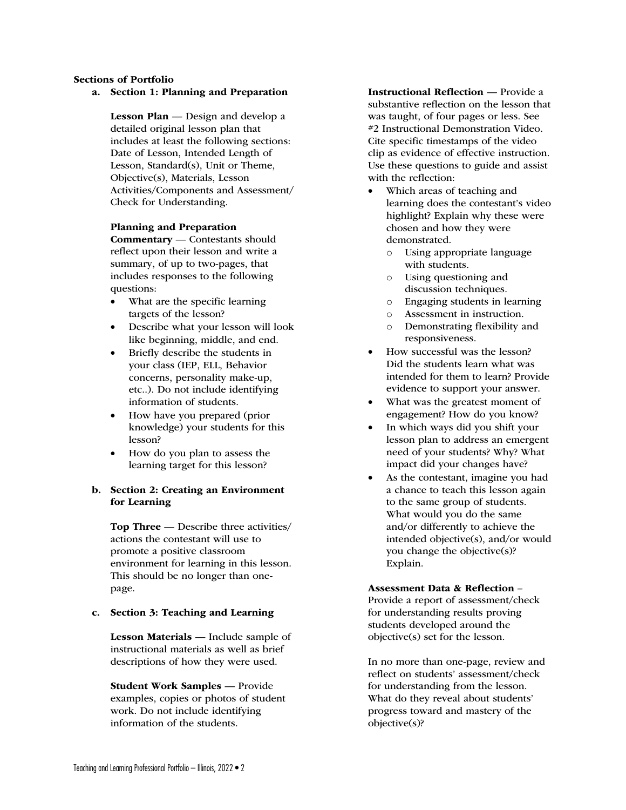### Sections of Portfolio

a. Section 1: Planning and Preparation

Lesson Plan — Design and develop a detailed original lesson plan that includes at least the following sections: Date of Lesson, Intended Length of Lesson, Standard(s), Unit or Theme, Objective(s), Materials, Lesson Activities/Components and Assessment/ Check for Understanding.

#### Planning and Preparation

Commentary — Contestants should reflect upon their lesson and write a summary, of up to two-pages, that includes responses to the following questions:

- What are the specific learning targets of the lesson?
- Describe what your lesson will look like beginning, middle, and end.
- Briefly describe the students in your class (IEP, ELL, Behavior concerns, personality make-up, etc..). Do not include identifying information of students.
- How have you prepared (prior knowledge) your students for this lesson?
- How do you plan to assess the learning target for this lesson?

## b. Section 2: Creating an Environment for Learning

Top Three — Describe three activities/ actions the contestant will use to promote a positive classroom environment for learning in this lesson. This should be no longer than onepage.

#### c. Section 3: Teaching and Learning

Lesson Materials — Include sample of instructional materials as well as brief descriptions of how they were used.

Student Work Samples — Provide examples, copies or photos of student work. Do not include identifying information of the students.

Instructional Reflection — Provide a substantive reflection on the lesson that was taught, of four pages or less. See #2 Instructional Demonstration Video. Cite specific timestamps of the video clip as evidence of effective instruction. Use these questions to guide and assist with the reflection:

- Which areas of teaching and learning does the contestant's video highlight? Explain why these were chosen and how they were demonstrated.
	- o Using appropriate language with students.
	- o Using questioning and discussion techniques.
	- o Engaging students in learning
	- o Assessment in instruction.
	- o Demonstrating flexibility and responsiveness.
- How successful was the lesson? Did the students learn what was intended for them to learn? Provide evidence to support your answer.
- What was the greatest moment of engagement? How do you know?
- In which ways did you shift your lesson plan to address an emergent need of your students? Why? What impact did your changes have?
- As the contestant, imagine you had a chance to teach this lesson again to the same group of students. What would you do the same and/or differently to achieve the intended objective(s), and/or would you change the objective(s)? Explain.

#### Assessment Data & Reflection –

Provide a report of assessment/check for understanding results proving students developed around the objective(s) set for the lesson.

In no more than one-page, review and reflect on students' assessment/check for understanding from the lesson. What do they reveal about students' progress toward and mastery of the objective(s)?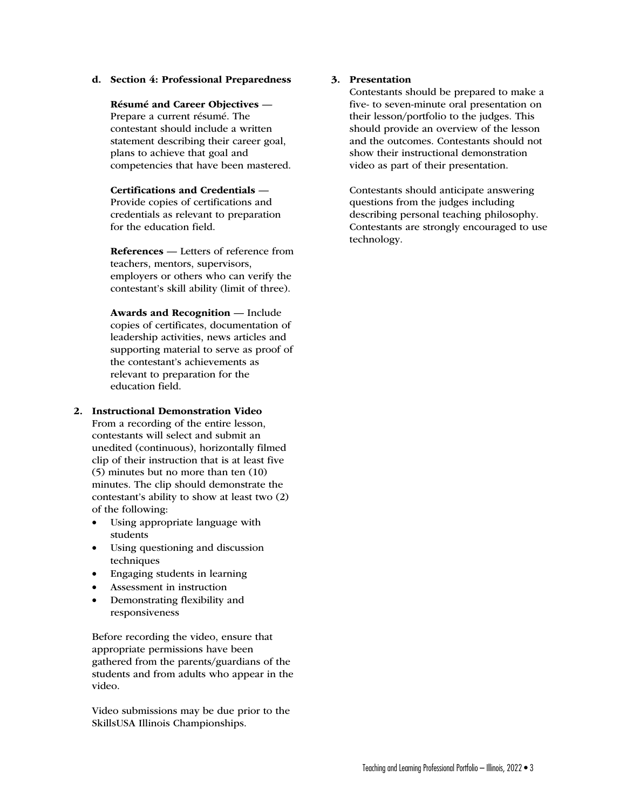#### d. Section 4: Professional Preparedness

Résumé and Career Objectives — Prepare a current résumé. The contestant should include a written statement describing their career goal, plans to achieve that goal and competencies that have been mastered.

Certifications and Credentials — Provide copies of certifications and credentials as relevant to preparation for the education field.

References — Letters of reference from teachers, mentors, supervisors, employers or others who can verify the contestant's skill ability (limit of three).

Awards and Recognition — Include copies of certificates, documentation of leadership activities, news articles and supporting material to serve as proof of the contestant's achievements as relevant to preparation for the education field.

## 2. Instructional Demonstration Video

From a recording of the entire lesson, contestants will select and submit an unedited (continuous), horizontally filmed clip of their instruction that is at least five (5) minutes but no more than ten (10) minutes. The clip should demonstrate the contestant's ability to show at least two (2) of the following:

- Using appropriate language with students
- Using questioning and discussion techniques
- Engaging students in learning
- Assessment in instruction
- Demonstrating flexibility and responsiveness

Before recording the video, ensure that appropriate permissions have been gathered from the parents/guardians of the students and from adults who appear in the video.

Video submissions may be due prior to the SkillsUSA Illinois Championships.

## 3. Presentation

Contestants should be prepared to make a five- to seven-minute oral presentation on their lesson/portfolio to the judges. This should provide an overview of the lesson and the outcomes. Contestants should not show their instructional demonstration video as part of their presentation.

Contestants should anticipate answering questions from the judges including describing personal teaching philosophy. Contestants are strongly encouraged to use technology.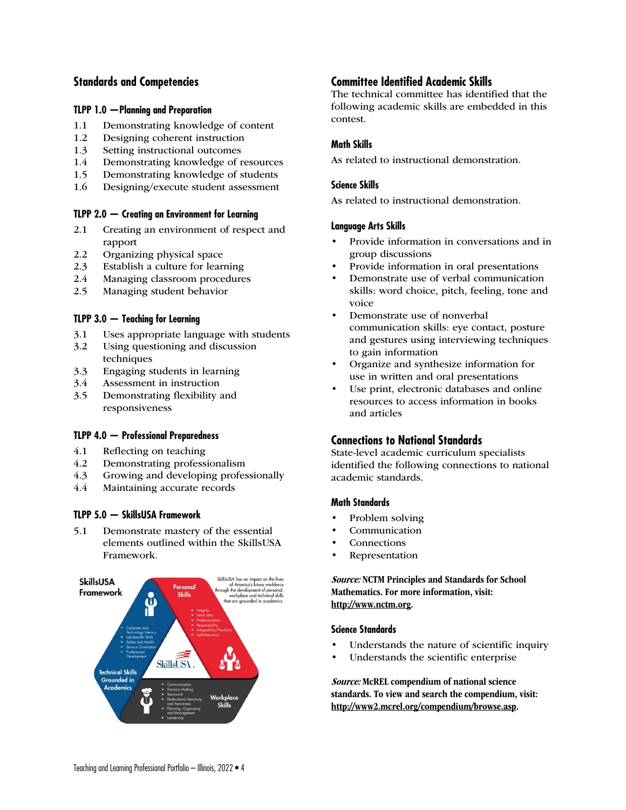## **Standards and Competencies**

## **TLPP 1.0 —Planning and Preparation**

- 1.1 Demonstrating knowledge of content
- 1.2 Designing coherent instruction
- 1.3 Setting instructional outcomes
- 1.4 Demonstrating knowledge of resources
- 1.5 Demonstrating knowledge of students
- 1.6 Designing/execute student assessment

## **TLPP 2.0 — Creating an Environment for Learning**

- 2.1 Creating an environment of respect and rapport
- 2.2 Organizing physical space
- 2.3 Establish a culture for learning
- 2.4 Managing classroom procedures
- 2.5 Managing student behavior

## **TLPP 3.0 — Teaching for Learning**

- 3.1 Uses appropriate language with students
- 3.2 Using questioning and discussion techniques
- 3.3 Engaging students in learning
- 3.4 Assessment in instruction
- 3.5 Demonstrating flexibility and responsiveness

## **TLPP 4.0 — Professional Preparedness**

- 
- 4.1 Reflecting on teaching<br>4.2 Demonstrating profess Demonstrating professionalism
- 4.3 Growing and developing professionally
- 4.4 Maintaining accurate records

## **TLPP 5.0 — SkillsUSA Framework**

5.1 Demonstrate mastery of the essential elements outlined within the SkillsUSA Framework.



## **Committee Identified Academic Skills**

The technical committee has identified that the following academic skills are embedded in this contest.

## **Math Skills**

As related to instructional demonstration.

## **Science Skills**

As related to instructional demonstration.

#### **Language Arts Skills**

- Provide information in conversations and in group discussions
- Provide information in oral presentations
- Demonstrate use of verbal communication skills: word choice, pitch, feeling, tone and voice
- Demonstrate use of nonverbal communication skills: eye contact, posture and gestures using interviewing techniques to gain information
- Organize and synthesize information for use in written and oral presentations
- Use print, electronic databases and online resources to access information in books and articles

## **Connections to National Standards**

State-level academic curriculum specialists identified the following connections to national academic standards.

## **Math Standards**

- Problem solving
- **Communication**
- **Connections**
- **Representation**

## Source: NCTM Principles and Standards for School Mathematics. For more information, visit: http://www.nctm.org.

## **Science Standards**

- Understands the nature of scientific inquiry
- Understands the scientific enterprise

Source: McREL compendium of national science standards. To view and search the compendium, visit: http://www2.mcrel.org/compendium/browse.asp.